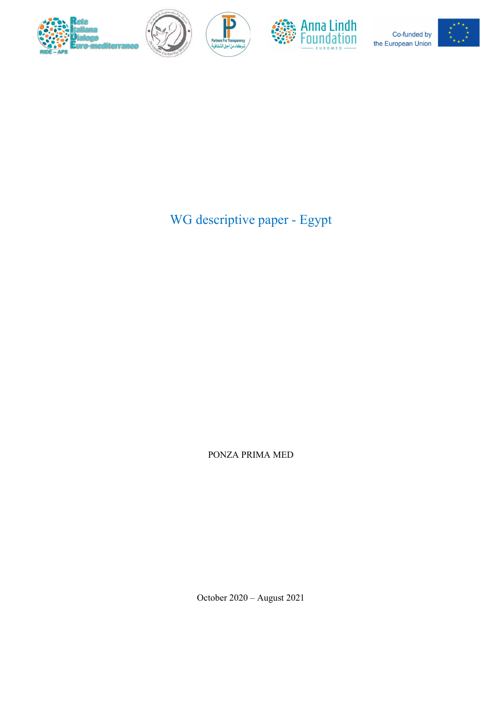



P



Co-funded by the European Union



WG descriptive paper - Egypt

PONZA PRIMA MED

October 2020 – August 2021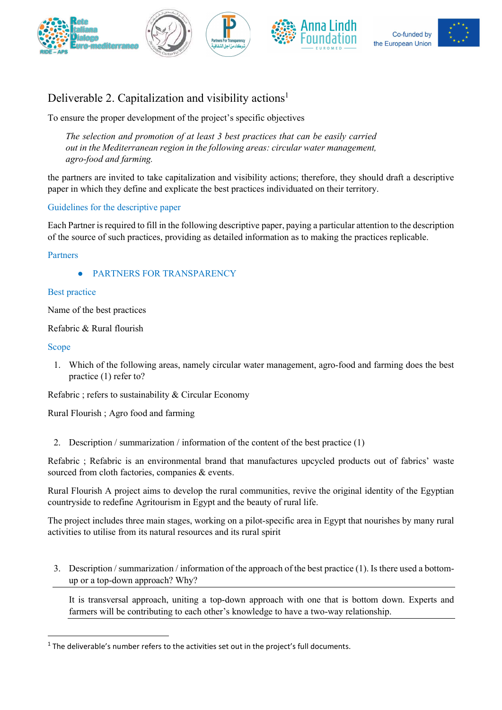







# Deliverable 2. Capitalization and visibility actions<sup>1</sup>

To ensure the proper development of the project's specific objectives

The selection and promotion of at least 3 best practices that can be easily carried out in the Mediterranean region in the following areas: circular water management, agro-food and farming.

the partners are invited to take capitalization and visibility actions; therefore, they should draft a descriptive paper in which they define and explicate the best practices individuated on their territory.

# Guidelines for the descriptive paper

Each Partner is required to fill in the following descriptive paper, paying a particular attention to the description of the source of such practices, providing as detailed information as to making the practices replicable.

#### Partners

PARTNERS FOR TRANSPARENCY

#### Best practice

Name of the best practices

Refabric & Rural flourish

#### Scope

1. Which of the following areas, namely circular water management, agro-food and farming does the best practice (1) refer to?

Refabric ; refers to sustainability & Circular Economy

Rural Flourish ; Agro food and farming

2. Description / summarization / information of the content of the best practice (1)

Refabric ; Refabric is an environmental brand that manufactures upcycled products out of fabrics' waste sourced from cloth factories, companies & events.

Rural Flourish A project aims to develop the rural communities, revive the original identity of the Egyptian countryside to redefine Agritourism in Egypt and the beauty of rural life.

The project includes three main stages, working on a pilot-specific area in Egypt that nourishes by many rural activities to utilise from its natural resources and its rural spirit

3. Description / summarization / information of the approach of the best practice (1). Is there used a bottomup or a top-down approach? Why?

It is transversal approach, uniting a top-down approach with one that is bottom down. Experts and farmers will be contributing to each other's knowledge to have a two-way relationship.

 $<sup>1</sup>$  The deliverable's number refers to the activities set out in the project's full documents.</sup>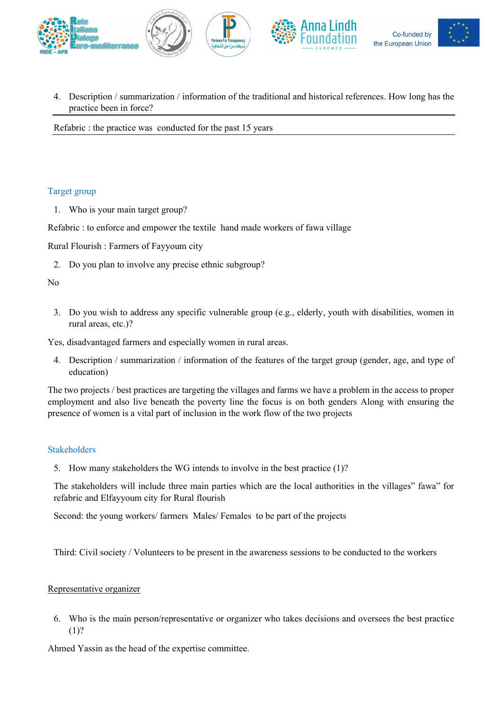

4. Description / summarization / information of the traditional and historical references. How long has the practice been in force?

Refabric : the practice was conducted for the past 15 years

#### Target group

1. Who is your main target group?

Refabric : to enforce and empower the textile hand made workers of fawa village

Rural Flourish : Farmers of Fayyoum city

2. Do you plan to involve any precise ethnic subgroup?

No

3. Do you wish to address any specific vulnerable group (e.g., elderly, youth with disabilities, women in rural areas, etc.)?

Yes, disadvantaged farmers and especially women in rural areas.

4. Description / summarization / information of the features of the target group (gender, age, and type of education)

The two projects / best practices are targeting the villages and farms we have a problem in the access to proper employment and also live beneath the poverty line the focus is on both genders Along with ensuring the presence of women is a vital part of inclusion in the work flow of the two projects

#### Stakeholders

5. How many stakeholders the WG intends to involve in the best practice (1)?

The stakeholders will include three main parties which are the local authorities in the villages" fawa" for refabric and Elfayyoum city for Rural flourish

Second: the young workers/ farmers Males/ Females to be part of the projects

Third: Civil society / Volunteers to be present in the awareness sessions to be conducted to the workers

#### Representative organizer

6. Who is the main person/representative or organizer who takes decisions and oversees the best practice (1)?

Ahmed Yassin as the head of the expertise committee.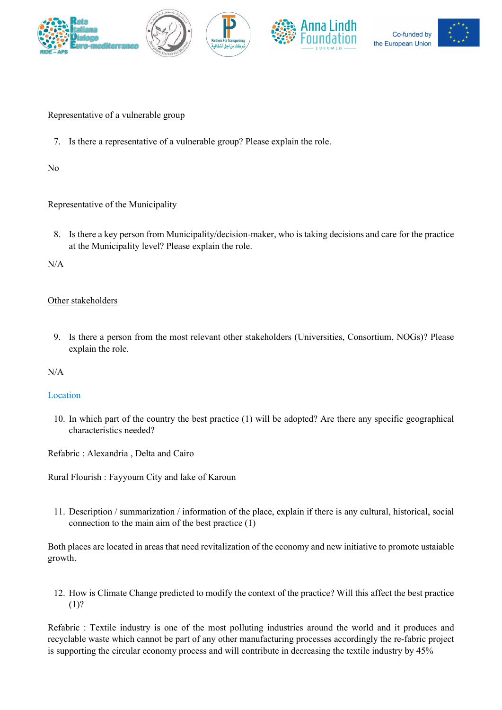









#### Representative of a vulnerable group

7. Is there a representative of a vulnerable group? Please explain the role.

No

# Representative of the Municipality

8. Is there a key person from Municipality/decision-maker, who is taking decisions and care for the practice at the Municipality level? Please explain the role.

N/A

# Other stakeholders

9. Is there a person from the most relevant other stakeholders (Universities, Consortium, NOGs)? Please explain the role.

N/A

# Location

10. In which part of the country the best practice (1) will be adopted? Are there any specific geographical characteristics needed?

Refabric : Alexandria , Delta and Cairo

Rural Flourish : Fayyoum City and lake of Karoun

11. Description / summarization / information of the place, explain if there is any cultural, historical, social connection to the main aim of the best practice (1)

Both places are located in areas that need revitalization of the economy and new initiative to promote ustaiable growth.

12. How is Climate Change predicted to modify the context of the practice? Will this affect the best practice (1)?

Refabric : Textile industry is one of the most polluting industries around the world and it produces and recyclable waste which cannot be part of any other manufacturing processes accordingly the re-fabric project is supporting the circular economy process and will contribute in decreasing the textile industry by 45%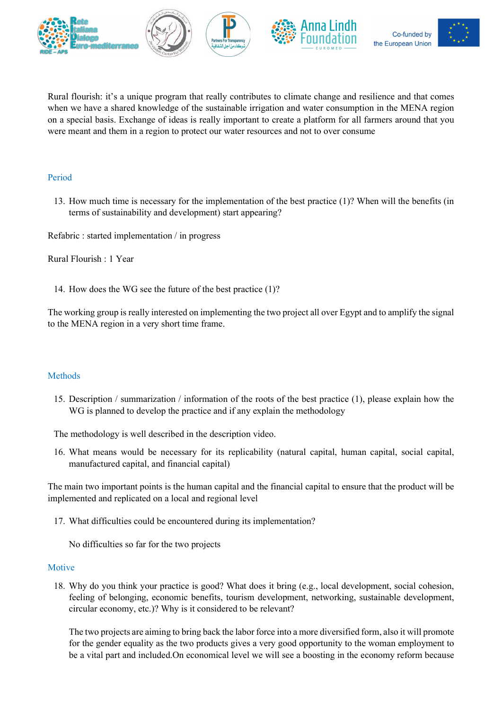







Rural flourish: it's a unique program that really contributes to climate change and resilience and that comes when we have a shared knowledge of the sustainable irrigation and water consumption in the MENA region on a special basis. Exchange of ideas is really important to create a platform for all farmers around that you were meant and them in a region to protect our water resources and not to over consume

#### Period

13. How much time is necessary for the implementation of the best practice (1)? When will the benefits (in terms of sustainability and development) start appearing?

Refabric : started implementation / in progress

Rural Flourish : 1 Year

14. How does the WG see the future of the best practice (1)?

The working group is really interested on implementing the two project all over Egypt and to amplify the signal to the MENA region in a very short time frame.

# Methods

15. Description / summarization / information of the roots of the best practice (1), please explain how the WG is planned to develop the practice and if any explain the methodology

The methodology is well described in the description video.

16. What means would be necessary for its replicability (natural capital, human capital, social capital, manufactured capital, and financial capital)

The main two important points is the human capital and the financial capital to ensure that the product will be implemented and replicated on a local and regional level

17. What difficulties could be encountered during its implementation?

No difficulties so far for the two projects

#### Motive

18. Why do you think your practice is good? What does it bring (e.g., local development, social cohesion, feeling of belonging, economic benefits, tourism development, networking, sustainable development, circular economy, etc.)? Why is it considered to be relevant?

The two projects are aiming to bring back the labor force into a more diversified form, also it will promote for the gender equality as the two products gives a very good opportunity to the woman employment to be a vital part and included.On economical level we will see a boosting in the economy reform because